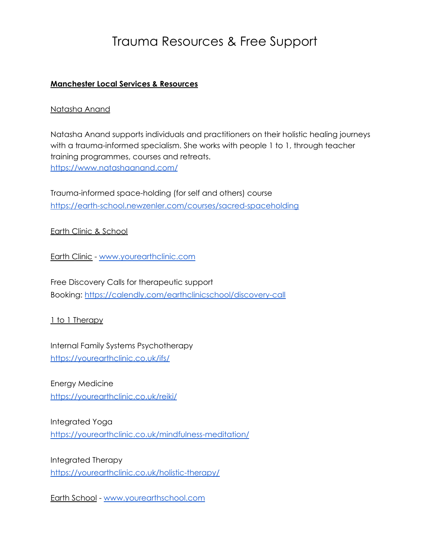# Trauma Resources & Free Support

## **Manchester Local Services & Resources**

#### Natasha Anand

Natasha Anand supports individuals and practitioners on their holistic healing journeys with a trauma-informed specialism. She works with people 1 to 1, through teacher training programmes, courses and retreats. <https://www.natashaanand.com/>

Trauma-informed space-holding (for self and others) course <https://earth-school.newzenler.com/courses/sacred-spaceholding>

#### Earth Clinic & School

Earth Clinic - [www.yourearthclinic.com](http://www.yourearthclinic.com)

Free Discovery Calls for therapeutic support Booking: <https://calendly.com/earthclinicschool/discovery-call>

## 1 to 1 Therapy

Internal Family Systems Psychotherapy <https://yourearthclinic.co.uk/ifs/>

Energy Medicine <https://yourearthclinic.co.uk/reiki/>

Integrated Yoga <https://yourearthclinic.co.uk/mindfulness-meditation/>

Integrated Therapy <https://yourearthclinic.co.uk/holistic-therapy/>

Earth School - [www.yourearthschool.com](http://www.yourearthschool.com)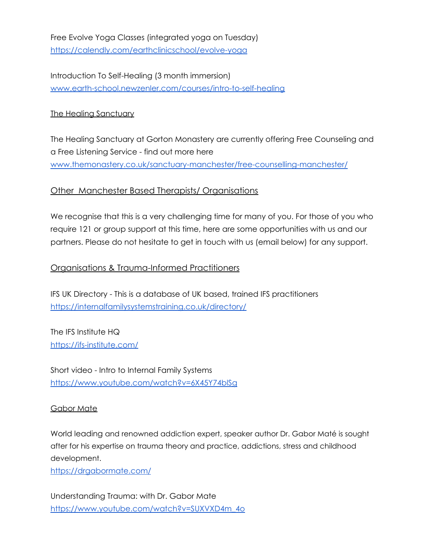Free Evolve Yoga Classes (integrated yoga on Tuesday) <https://calendly.com/earthclinicschool/evolve-yoga>

Introduction To Self-Healing (3 month immersion) [www.earth-school.newzenler.com/courses/intro-to-self-healing](http://www.earth-school.newzenler.com/courses/intro-to-self-healing)

# The Healing Sanctuary

The Healing Sanctuary at Gorton Monastery are currently offering Free Counseling and a Free Listening Service - find out more here [www.themonastery.co.uk/sanctuary-manchester/free-counselling-manchester/](http://www.themonastery.co.uk/sanctuary-manchester/free-counselling-manchester/)

# Other Manchester Based Therapists/ Organisations

We recognise that this is a very challenging time for many of you. For those of you who require 121 or group support at this time, here are some opportunities with us and our partners. Please do not hesitate to get in touch with us (email below) for any support.

# Organisations & Trauma-Informed Practitioners

IFS UK Directory - This is a database of UK based, trained IFS practitioners <https://internalfamilysystemstraining.co.uk/directory/>

The IFS Institute HQ <https://ifs-institute.com/>

Short video - Intro to Internal Family Systems <https://www.youtube.com/watch?v=6X45Y74blSg>

## Gabor Mate

World leading and renowned addiction expert, speaker author Dr. Gabor Maté is sought after for his expertise on trauma theory and practice, addictions, stress and childhood development.

<https://drgabormate.com/>

Understanding Trauma: with Dr. Gabor Mate [https://www.youtube.com/watch?v=SUXVXD4m\\_4o](https://www.youtube.com/watch?v=SUXVXD4m_4o)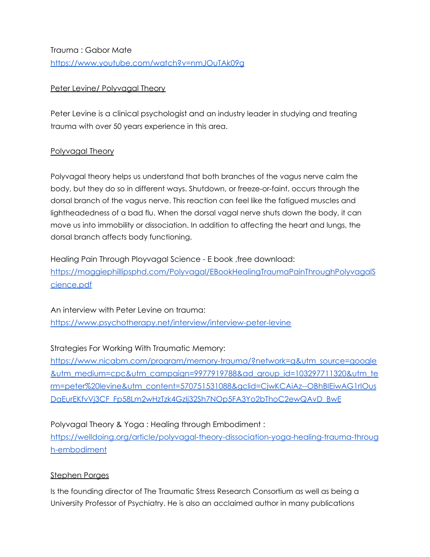Trauma : Gabor Mate <https://www.youtube.com/watch?v=nmJOuTAk09g>

## Peter Levine/ Polyvagal Theory

Peter Levine is a clinical psychologist and an industry leader in studying and treating trauma with over 50 years experience in this area.

## Polyvagal Theory

Polyvagal theory helps us understand that both branches of the vagus nerve calm the body, but they do so in different ways. Shutdown, or freeze-or-faint, occurs through the dorsal branch of the vagus nerve. This reaction can feel like the fatigued muscles and lightheadedness of a bad flu. When the dorsal vagal nerve shuts down the body, it can move us into immobility or dissociation. In addition to affecting the heart and lungs, the dorsal branch affects body functioning.

Healing Pain Through Ployvagal Science - E book ,free download: [https://maggiephillipsphd.com/Polyvagal/EBookHealingTraumaPainThroughPolyvagalS](https://maggiephillipsphd.com/Polyvagal/EBookHealingTraumaPainThroughPolyvagalScience.pdf) [cience.pdf](https://maggiephillipsphd.com/Polyvagal/EBookHealingTraumaPainThroughPolyvagalScience.pdf)

An interview with Peter Levine on trauma: <https://www.psychotherapy.net/interview/interview-peter-levine>

# Strategies For Working With Traumatic Memory:

[https://www.nicabm.com/program/memory-trauma/?network=g&utm\\_source=google](https://www.nicabm.com/program/memory-trauma/?network=g&utm_source=google&utm_medium=cpc&utm_campaign=9977919788&ad_group_id=103297711320&utm_term=peter%20levine&utm_content=570751531088&gclid=CjwKCAiAz--OBhBIEiwAG1rIOusDaEurEKfvVj3CF_Fp58Lm2wHzTzk4GzIj32Sh7NOp5FA3Yo2bThoC2ewQAvD_BwE) [&utm\\_medium=cpc&utm\\_campaign=9977919788&ad\\_group\\_id=103297711320&utm\\_te](https://www.nicabm.com/program/memory-trauma/?network=g&utm_source=google&utm_medium=cpc&utm_campaign=9977919788&ad_group_id=103297711320&utm_term=peter%20levine&utm_content=570751531088&gclid=CjwKCAiAz--OBhBIEiwAG1rIOusDaEurEKfvVj3CF_Fp58Lm2wHzTzk4GzIj32Sh7NOp5FA3Yo2bThoC2ewQAvD_BwE) [rm=peter%20levine&utm\\_content=570751531088&gclid=CjwKCAiAz--OBhBIEiwAG1rIOus](https://www.nicabm.com/program/memory-trauma/?network=g&utm_source=google&utm_medium=cpc&utm_campaign=9977919788&ad_group_id=103297711320&utm_term=peter%20levine&utm_content=570751531088&gclid=CjwKCAiAz--OBhBIEiwAG1rIOusDaEurEKfvVj3CF_Fp58Lm2wHzTzk4GzIj32Sh7NOp5FA3Yo2bThoC2ewQAvD_BwE) [DaEurEKfvVj3CF\\_Fp58Lm2wHzTzk4GzIj32Sh7NOp5FA3Yo2bThoC2ewQAvD\\_BwE](https://www.nicabm.com/program/memory-trauma/?network=g&utm_source=google&utm_medium=cpc&utm_campaign=9977919788&ad_group_id=103297711320&utm_term=peter%20levine&utm_content=570751531088&gclid=CjwKCAiAz--OBhBIEiwAG1rIOusDaEurEKfvVj3CF_Fp58Lm2wHzTzk4GzIj32Sh7NOp5FA3Yo2bThoC2ewQAvD_BwE)

# Polyvagal Theory & Yoga : Healing through Embodiment :

[https://welldoing.org/article/polyvagal-theory-dissociation-yoga-healing-trauma-throug](https://welldoing.org/article/polyvagal-theory-dissociation-yoga-healing-trauma-through-embodiment) [h-embodiment](https://welldoing.org/article/polyvagal-theory-dissociation-yoga-healing-trauma-through-embodiment)

## Stephen Porges

Is the founding director of The Traumatic Stress Research Consortium as well as being a University Professor of Psychiatry. He is also an acclaimed author in many publications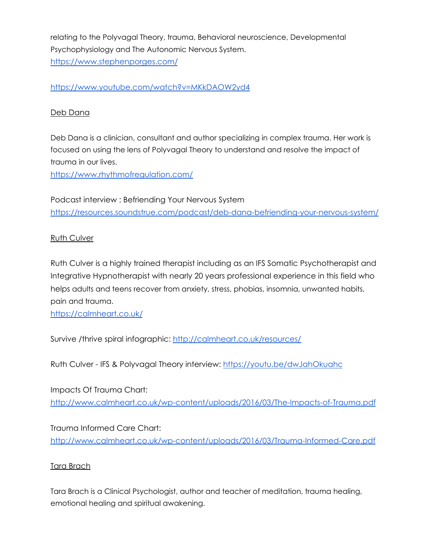relating to the Polyvagal Theory, trauma, Behavioral neuroscience, Developmental Psychophysiology and The Autonomic Nervous System. <https://www.stephenporges.com/>

<https://www.youtube.com/watch?v=MKkDAOW2yd4>

# Deb Dana

Deb Dana is a clinician, consultant and author specializing in complex trauma. Her work is focused on using the lens of Polyvagal Theory to understand and resolve the impact of trauma in our lives.

<https://www.rhythmofregulation.com/>

Podcast interview : Befriending Your Nervous System <https://resources.soundstrue.com/podcast/deb-dana-befriending-your-nervous-system/>

# Ruth Culver

Ruth Culver is a highly trained therapist including as an IFS Somatic Psychotherapist and Integrative Hypnotherapist with nearly 20 years professional experience in this field who helps adults and teens recover from anxiety, stress, phobias, insomnia, unwanted habits, pain and trauma.

<https://calmheart.co.uk/>

Survive /thrive spiral infographic: <http://calmheart.co.uk/resources/>

Ruth Culver - IFS & Polyvagal Theory interview: <https://youtu.be/dwJahOkuahc>

Impacts Of Trauma Chart: <http://www.calmheart.co.uk/wp-content/uploads/2016/03/The-Impacts-of-Trauma.pdf>

Trauma Informed Care Chart: <http://www.calmheart.co.uk/wp-content/uploads/2016/03/Trauma-Informed-Care.pdf>

# Tara Brach

Tara Brach is a Clinical Psychologist, author and teacher of meditation, trauma healing, emotional healing and spiritual awakening.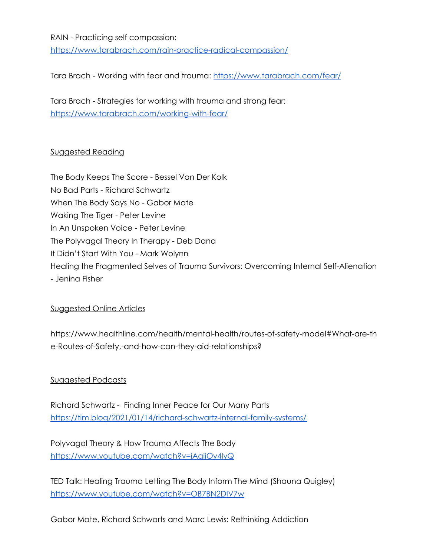RAIN - Practicing self compassion:

<https://www.tarabrach.com/rain-practice-radical-compassion/>

Tara Brach - Working with fear and trauma: <https://www.tarabrach.com/fear/>

Tara Brach - Strategies for working with trauma and strong fear: <https://www.tarabrach.com/working-with-fear/>

## Suggested Reading

The Body Keeps The Score - Bessel Van Der Kolk No Bad Parts - Richard Schwartz When The Body Says No - Gabor Mate Waking The Tiger - Peter Levine In An Unspoken Voice - Peter Levine The Polyvagal Theory In Therapy - Deb Dana It Didn't Start With You - Mark Wolynn Healing the Fragmented Selves of Trauma Survivors: Overcoming Internal Self-Alienation - Jenina Fisher

## **Suggested Online Articles**

[https://www.healthline.com/health/mental-health/routes-of-safety-model#What-are-th](https://www.healthline.com/health/mental-health/routes-of-safety-model#What-are-the-Routes-of-Safety,-and-how-can-they-aid-relationships) [e-Routes-of-Safety,-and-how-can-they-aid-relationships](https://www.healthline.com/health/mental-health/routes-of-safety-model#What-are-the-Routes-of-Safety,-and-how-can-they-aid-relationships)?

## Suggested Podcasts

Richard Schwartz - Finding Inner Peace for Our Many Parts <https://tim.blog/2021/01/14/richard-schwartz-internal-family-systems/>

Polyvagal Theory & How Trauma Affects The Body <https://www.youtube.com/watch?v=iAqiiOy4IyQ>

TED Talk: Healing Trauma Letting The Body Inform The Mind (Shauna Quigley) <https://www.youtube.com/watch?v=OB7BN2DIV7w>

Gabor Mate, Richard Schwarts and Marc Lewis: Rethinking Addiction